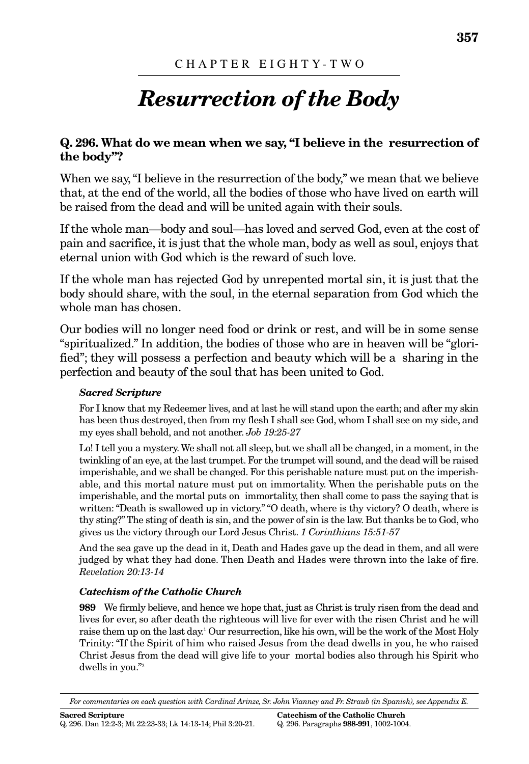# *Resurrection of the Body*

# **Q. 296. What do we mean when we say, "I believe in the resurrection of the body"?**

When we say, "I believe in the resurrection of the body," we mean that we believe that, at the end of the world, all the bodies of those who have lived on earth will be raised from the dead and will be united again with their souls.

If the whole man—body and soul—has loved and served God, even at the cost of pain and sacrifice, it is just that the whole man, body as well as soul, enjoys that eternal union with God which is the reward of such love.

If the whole man has rejected God by unrepented mortal sin, it is just that the body should share, with the soul, in the eternal separation from God which the whole man has chosen.

Our bodies will no longer need food or drink or rest, and will be in some sense "spiritualized." In addition, the bodies of those who are in heaven will be "glorified"; they will possess a perfection and beauty which will be a sharing in the perfection and beauty of the soul that has been united to God.

## *Sacred Scripture*

For I know that my Redeemer lives, and at last he will stand upon the earth; and after my skin has been thus destroyed, then from my flesh I shall see God, whom I shall see on my side, and my eyes shall behold, and not another. *Job 19:25-27*

Lo! I tell you a mystery. We shall not all sleep, but we shall all be changed, in a moment, in the twinkling of an eye, at the last trumpet. For the trumpet will sound, and the dead will be raised imperishable, and we shall be changed. For this perishable nature must put on the imperishable, and this mortal nature must put on immortality. When the perishable puts on the imperishable, and the mortal puts on immortality, then shall come to pass the saying that is written: "Death is swallowed up in victory." "O death, where is thy victory? O death, where is thy sting?"The sting of death is sin, and the power of sin is the law. But thanks be to God, who gives us the victory through our Lord Jesus Christ. *1 Corinthians 15:51-57*

And the sea gave up the dead in it, Death and Hades gave up the dead in them, and all were judged by what they had done. Then Death and Hades were thrown into the lake of fire. *Revelation 20:13-14*

#### *Catechism of the Catholic Church*

**989** We firmly believe, and hence we hope that, just as Christ is truly risen from the dead and lives for ever, so after death the righteous will live for ever with the risen Christ and he will raise them up on the last day.1 Our resurrection, like his own, will be the work of the Most Holy Trinity: "If the Spirit of him who raised Jesus from the dead dwells in you, he who raised Christ Jesus from the dead will give life to your mortal bodies also through his Spirit who dwells in you."2

*For commentaries on each question with Cardinal Arinze, Sr. John Vianney and Fr. Straub (in Spanish), see Appendix E.*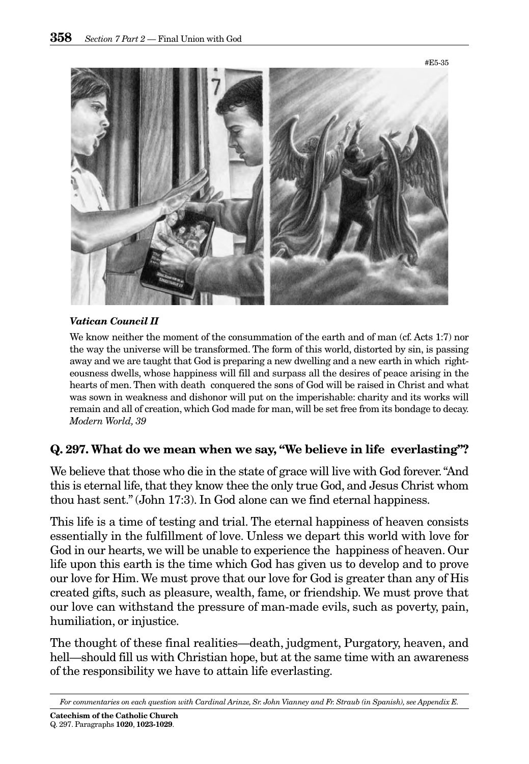

#### *Vatican Council II*

We know neither the moment of the consummation of the earth and of man (cf. Acts 1:7) nor the way the universe will be transformed. The form of this world, distorted by sin, is passing away and we are taught that God is preparing a new dwelling and a new earth in which righteousness dwells, whose happiness will fill and surpass all the desires of peace arising in the hearts of men. Then with death conquered the sons of God will be raised in Christ and what was sown in weakness and dishonor will put on the imperishable: charity and its works will remain and all of creation, which God made for man, will be set free from its bondage to decay. *Modern World, 39*

# **Q. 297. What do we mean when we say, "We believe in life everlasting"?**

We believe that those who die in the state of grace will live with God forever."And this is eternal life, that they know thee the only true God, and Jesus Christ whom thou hast sent." (John 17:3). In God alone can we find eternal happiness.

This life is a time of testing and trial. The eternal happiness of heaven consists essentially in the fulfillment of love. Unless we depart this world with love for God in our hearts, we will be unable to experience the happiness of heaven. Our life upon this earth is the time which God has given us to develop and to prove our love for Him. We must prove that our love for God is greater than any of His created gifts, such as pleasure, wealth, fame, or friendship. We must prove that our love can withstand the pressure of man-made evils, such as poverty, pain, humiliation, or injustice.

The thought of these final realities—death, judgment, Purgatory, heaven, and hell—should fill us with Christian hope, but at the same time with an awareness of the responsibility we have to attain life everlasting.

*For commentaries on each question with Cardinal Arinze, Sr. John Vianney and Fr. Straub (in Spanish), see Appendix E.*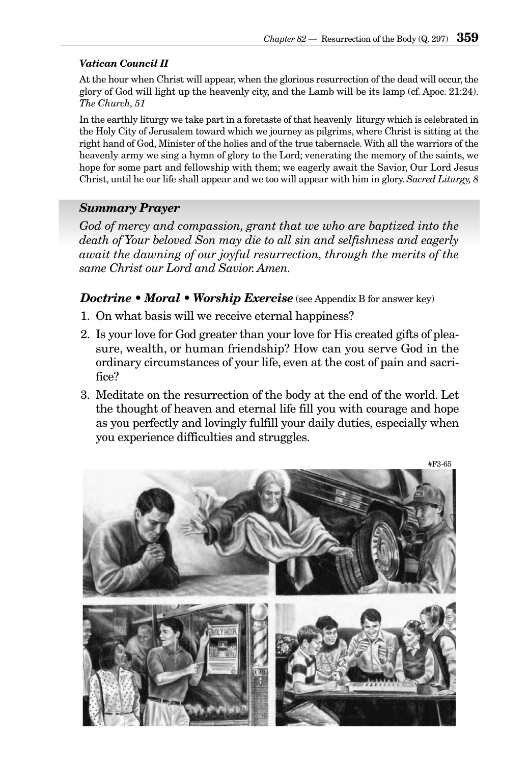#### *Vatican Council II*

At the hour when Christ will appear, when the glorious resurrection of the dead will occur, the glory of God will light up the heavenly city, and the Lamb will be its lamp (cf. Apoc. 21:24). *The Church, 51*

In the earthly liturgy we take part in a foretaste of that heavenly liturgy which is celebrated in the Holy City of Jerusalem toward which we journey as pilgrims, where Christ is sitting at the right hand of God, Minister of the holies and of the true tabernacle. With all the warriors of the heavenly army we sing a hymn of glory to the Lord; venerating the memory of the saints, we hope for some part and fellowship with them; we eagerly await the Savior, Our Lord Jesus Christ, until he our life shall appear and we too will appear with him in glory. *Sacred Liturgy, 8*

## *Summary Prayer*

*God of mercy and compassion, grant that we who are baptized into the death of Your beloved Son may die to all sin and selfishness and eagerly await the dawning of our joyful resurrection, through the merits of the same Christ our Lord and Savior. Amen.*

#### *Doctrine • Moral • Worship Exercise* (see Appendix B for answer key)

- 1. On what basis will we receive eternal happiness?
- 2. Is your love for God greater than your love for His created gifts of pleasure, wealth, or human friendship? How can you serve God in the ordinary circumstances of your life, even at the cost of pain and sacrifice?
- 3. Meditate on the resurrection of the body at the end of the world. Let the thought of heaven and eternal life fill you with courage and hope as you perfectly and lovingly fulfill your daily duties, especially when you experience difficulties and struggles.

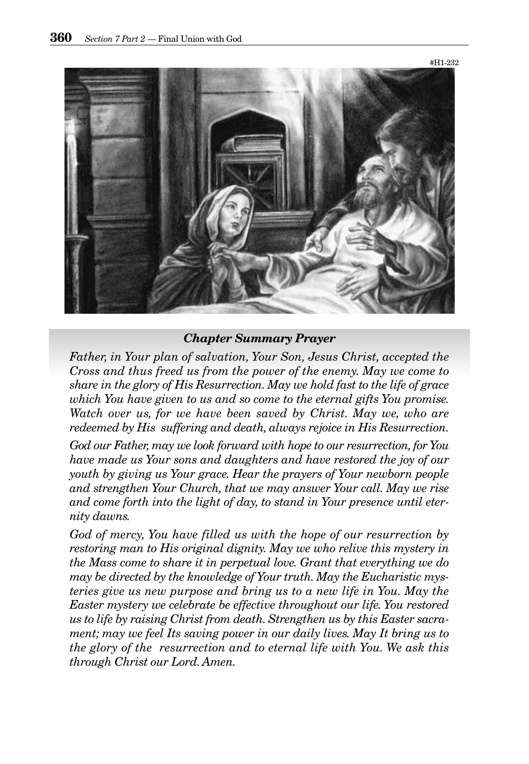

#### *Chapter Summary Prayer*

*Father, in Your plan of salvation, Your Son, Jesus Christ, accepted the Cross and thus freed us from the power of the enemy. May we come to share in the glory of His Resurrection. May we hold fast to the life of grace which You have given to us and so come to the eternal gifts You promise. Watch over us, for we have been saved by Christ. May we, who are redeemed by His suffering and death, always rejoice in His Resurrection.*

*God our Father, may we look forward with hope to our resurrection, for You have made us Your sons and daughters and have restored the joy of our youth by giving us Your grace. Hear the prayers of Your newborn people and strengthen Your Church, that we may answer Your call. May we rise and come forth into the light of day, to stand in Your presence until eternity dawns.*

*God of mercy, You have filled us with the hope of our resurrection by restoring man to His original dignity. May we who relive this mystery in the Mass come to share it in perpetual love. Grant that everything we do may be directed by the knowledge of Your truth. May the Eucharistic mysteries give us new purpose and bring us to a new life in You. May the Easter mystery we celebrate be effective throughout our life. You restored us to life by raising Christ from death. Strengthen us by this Easter sacrament; may we feel Its saving power in our daily lives. May It bring us to the glory of the resurrection and to eternal life with You. We ask this through Christ our Lord. Amen.*